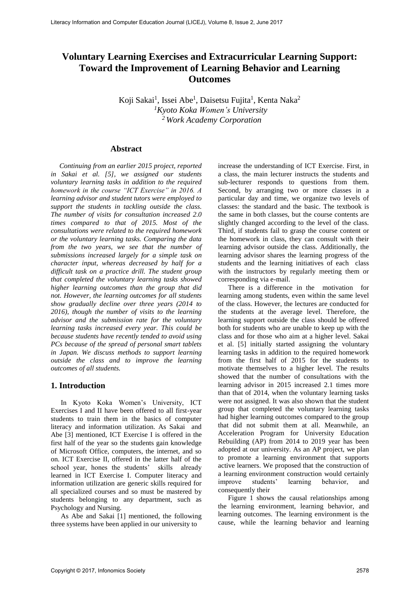# **Voluntary Learning Exercises and Extracurricular Learning Support: Toward the Improvement of Learning Behavior and Learning Outcomes**

Koji Sakai<sup>1</sup>, Issei Abe<sup>1</sup>, Daisetsu Fujita<sup>1</sup>, Kenta Naka<sup>2</sup> *<sup>1</sup>Kyoto Koka Women's University <sup>2</sup> Work Academy Corporation*

#### **Abstract**

*Continuing from an earlier 2015 project, reported in Sakai et al. [5], we assigned our students voluntary learning tasks in addition to the required homework in the course "ICT Exercise" in 2016. A learning advisor and student tutors were employed to support the students in tackling outside the class. The number of visits for consultation increased 2.0 times compared to that of 2015. Most of the consultations were related to the required homework or the voluntary learning tasks. Comparing the data from the two years, we see that the number of submissions increased largely for a simple task on character input, whereas decreased by half for a difficult task on a practice drill. The student group that completed the voluntary learning tasks showed higher learning outcomes than the group that did not. However, the learning outcomes for all students show gradually decline over three years (2014 to 2016), though the number of visits to the learning advisor and the submission rate for the voluntary learning tasks increased every year. This could be because students have recently tended to avoid using PCs because of the spread of personal smart tablets in Japan. We discuss methods to support learning outside the class and to improve the learning outcomes of all students.*

# **1. Introduction**

In Kyoto Koka Women's University, ICT Exercises I and II have been offered to all first-year students to train them in the basics of computer literacy and information utilization. As Sakai and Abe [3] mentioned, ICT Exercise I is offered in the first half of the year so the students gain knowledge of Microsoft Office, computers, the internet, and so on. ICT Exercise II, offered in the latter half of the school year, hones the students' skills already learned in ICT Exercise I. Computer literacy and information utilization are generic skills required for all specialized courses and so must be mastered by students belonging to any department, such as Psychology and Nursing.

As Abe and Sakai [1] mentioned, the following three systems have been applied in our university to

increase the understanding of ICT Exercise. First, in a class, the main lecturer instructs the students and sub-lecturer responds to questions from them. Second, by arranging two or more classes in a particular day and time, we organize two levels of classes: the standard and the basic. The textbook is the same in both classes, but the course contents are slightly changed according to the level of the class. Third, if students fail to grasp the course content or the homework in class, they can consult with their learning advisor outside the class. Additionally, the learning advisor shares the learning progress of the students and the learning initiatives of each class with the instructors by regularly meeting them or corresponding via e-mail.

There is a difference in the motivation for learning among students, even within the same level of the class. However, the lectures are conducted for the students at the average level. Therefore, the learning support outside the class should be offered both for students who are unable to keep up with the class and for those who aim at a higher level. Sakai et al. [5] initially started assigning the voluntary learning tasks in addition to the required homework from the first half of 2015 for the students to motivate themselves to a higher level. The results showed that the number of consultations with the learning advisor in 2015 increased 2.1 times more than that of 2014, when the voluntary learning tasks were not assigned. It was also shown that the student group that completed the voluntary learning tasks had higher learning outcomes compared to the group that did not submit them at all. Meanwhile, an Acceleration Program for University Education Rebuilding (AP) from 2014 to 2019 year has been adopted at our university. As an AP project, we plan to promote a learning environment that supports active learners. We proposed that the construction of a learning environment construction would certainly improve students' learning behavior, and consequently their

Figure 1 shows the causal relationships among the learning environment, learning behavior, and learning outcomes. The learning environment is the cause, while the learning behavior and learning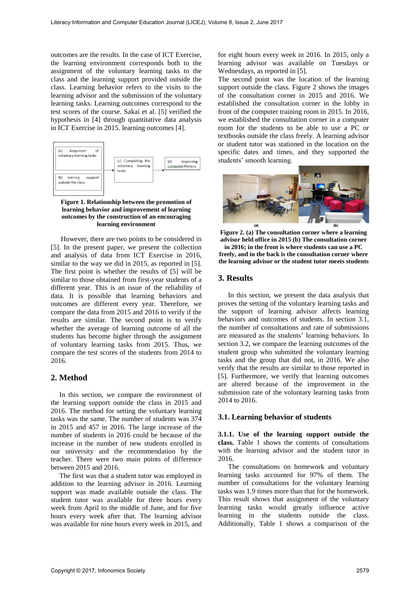outcomes are the results. In the case of ICT Exercise, the learning environment corresponds both to the assignment of the voluntary learning tasks to the class and the learning support provided outside the class. Learning behavior refers to the visits to the learning advisor and the submission of the voluntary learning tasks. Learning outcomes correspond to the test scores of the course. Sakai et al. [5] verified the hypothesis in [4] through quantitative data analysis in ICT Exercise in 2015. learning outcomes [4].



**Figure 1. Relationship between the promotion of learning behavior and improvement of learning outcomes by the construction of an encouraging learning environment**

However, there are two points to be considered in [5]. In the present paper, we present the collection and analysis of data from ICT Exercise in 2016, similar to the way we did in 2015, as reported in [5]. The first point is whether the results of [5] will be similar to those obtained from first-year students of a different year. This is an issue of the reliability of data. It is possible that learning behaviors and outcomes are different every year. Therefore, we compare the data from 2015 and 2016 to verify if the results are similar. The second point is to verify whether the average of learning outcome of all the students has become higher through the assignment of voluntary learning tasks from 2015. Thus, we compare the test scores of the students from 2014 to 2016.

#### **2. Method**

In this section, we compare the environment of the learning support outside the class in 2015 and 2016. The method for setting the voluntary learning tasks was the same. The number of students was 374 in 2015 and 457 in 2016. The large increase of the number of students in 2016 could be because of the increase in the number of new students enrolled in our university and the recommendation by the teacher. There were two main points of difference between 2015 and 2016.

The first was that a student tutor was employed in addition to the learning advisor in 2016. Learning support was made available outside the class. The student tutor was available for three hours every week from April to the middle of June, and for five hours every week after that. The learning advisor was available for nine hours every week in 2015, and for eight hours every week in 2016. In 2015, only a learning advisor was available on Tuesdays or Wednesdays, as reported in [5].

The second point was the location of the learning support outside the class. Figure 2 shows the images of the consultation corner in 2015 and 2016. We established the consultation corner in the lobby in front of the computer training room in 2015. In 2016, we established the consultation corner in a computer room for the students to be able to use a PC or textbooks outside the class freely. A learning advisor or student tutor was stationed in the location on the specific dates and times, and they supported the students' smooth learning.



**Figure 2. (a) The consultation corner where a learning advisor held office in 2015 (b) The consultation corner in 2016; in the front is where students can use a PC freely, and in the back is the consultation corner where the learning advisor or the student tutor meets students**

#### **3. Results**

In this section, we present the data analysis that proves the setting of the voluntary learning tasks and the support of learning advisor affects learning behaviors and outcomes of students. In section 3.1, the number of consultations and rate of submissions are measured as the students' learning behaviors. In section 3.2, we compare the learning outcomes of the student group who submitted the voluntary learning tasks and the group that did not, in 2016. We also verify that the results are similar to those reported in [5]. Furthermore, we verify that learning outcomes are altered because of the improvement in the submission rate of the voluntary learning tasks from 2014 to 2016.

#### **3.1. Learning behavior of students**

**3.1.1. Use of the learning support outside the class.** Table 1 shows the contents of consultations with the learning advisor and the student tutor in 2016.

The consultations on homework and voluntary learning tasks accounted for 97% of them. The number of consultations for the voluntary learning tasks was 1.9 times more than that for the homework. This result shows that assignment of the voluntary learning tasks would greatly influence active learning in the students outside the class. Additionally, Table 1 shows a comparison of the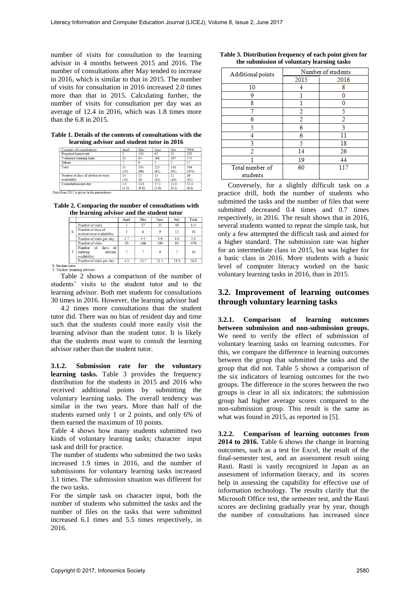number of visits for consultation to the learning advisor in 4 months between 2015 and 2016. The number of consultations after May tended to increase in 2016, which is similar to that in 2015. The number of visits for consultation in 2016 increased 2.0 times more than that in 2015. Calculating further, the number of visits for consultation per day was an average of 12.4 in 2016, which was 1.8 times more than the 6.8 in 2015.

**Table 1. Details of the contents of consultations with the learning advisor and student tutor in 2016**

| Contents of consultations                   | April | May   | June  | July  | Total |
|---------------------------------------------|-------|-------|-------|-------|-------|
| Required homework                           |       | 103   | 62    | 32    | 202   |
| Voluntary learning tasks                    | 23    | 84    | 161   | 107   | 375   |
| Others                                      |       | 6     |       |       | 17    |
| Total                                       | 35    | 193   | 225   | 141   | 594   |
|                                             | (33)  | (88)  | (81)  | (91)  | (293) |
| Number of days of advisor or tutor          | 10    | 13    | 13    | 12    | 48    |
| availability                                | (10)  | (9)   | (14)  | (10)  | (43)  |
| Consultations per day                       | 35    | 14.8  | 173   | 11.8  | 12.4  |
|                                             | (3.3) | (9.8) | (5.8) | (9.1) | (6.8) |
| Data from 2015 is given in the parentheses. |       |       |       |       |       |

**Table 2. Comparing the number of consultations with the learning advisor and the student tutor**

|   | .,                                                          | April | May  | June | July | Total |
|---|-------------------------------------------------------------|-------|------|------|------|-------|
|   | Number of visits                                            |       | 27   | 35   | 48   | 115   |
| s | Number of days of<br>student tutor availability             | 3     |      |      | 12   | 30    |
|   | Number of visits per day                                    | 1.7   | 4.5  | 3.9  | 4.0  | 3.8   |
|   | Number of visits                                            | 30    | 166  | 190  | 93   | 479   |
|   | Number of<br>days of<br>advisor<br>learning<br>availability |       |      | ٥    |      | 30    |
|   | Number of visits per day                                    | 4.3   | 23.7 | 21.1 | 13.3 | 16.0  |

S: Student tutor<br>T: Teacher (learning advisor)

Table 2 shows a comparison of the number of students' visits to the student tutor and to the learning advisor. Both met students for consultations 30 times in 2016. However, the learning advisor had

4.2 times more consultations than the student tutor did. There was no bias of resident day and time such that the students could more easily visit the learning advisor than the student tutor. It is likely that the students must want to consult the learning advisor rather than the student tutor.

**3.1.2. Submission rate for the voluntary learning tasks.** Table 3 provides the frequency distribution for the students in 2015 and 2016 who received additional points by submitting the voluntary learning tasks. The overall tendency was similar in the two years. More than half of the students earned only 1 or 2 points, and only 6% of them earned the maximum of 10 points.

Table 4 shows how many students submitted two kinds of voluntary learning tasks; character input task and drill for practice.

The number of students who submitted the two tasks increased 1.9 times in 2016, and the number of submissions for voluntary learning tasks increased 3.1 times. The submission situation was different for the two tasks.

For the simple task on character input, both the number of students who submitted the tasks and the number of files on the tasks that were submitted increased 6.1 times and 5.5 times respectively, in 2016.

| Additional points           | Number of students |      |  |  |
|-----------------------------|--------------------|------|--|--|
|                             | 2015               | 2016 |  |  |
| 10                          |                    | 8    |  |  |
| 9                           |                    |      |  |  |
| ጸ                           |                    |      |  |  |
|                             | 2                  | 5    |  |  |
|                             | 2                  | 2    |  |  |
| 5                           | 6                  | ٩    |  |  |
|                             | 6                  | 11   |  |  |
| 2                           |                    | 18   |  |  |
| 2                           | 14                 | 26   |  |  |
|                             | 19                 | 44   |  |  |
| Total number of<br>students | 60                 |      |  |  |

**Table 3. Distribution frequency of each point given for the submission of voluntary learning tasks**

Conversely, for a slightly difficult task on a practice drill, both the number of students who submitted the tasks and the number of files that were submitted decreased 0.4 times and 0.7 times respectively, in 2016. The result shows that in 2016, several students wanted to repeat the simple task, but only a few attempted the difficult task and aimed for a higher standard. The submission rate was higher for an intermediate class in 2015, but was higher for a basic class in 2016. More students with a basic level of computer literacy worked on the basic voluntary learning tasks in 2016, than in 2015.

# **3.2. Improvement of learning outcomes through voluntary learning tasks**

**3.2.1. Comparison of learning outcomes between submission and non-submission groups.**  We need to verify the effect of submission of voluntary learning tasks on learning outcomes. For this, we compare the difference in learning outcomes between the group that submitted the tasks and the group that did not. Table 5 shows a comparison of the six indicators of learning outcomes for the two groups. The difference in the scores between the two groups is clear in all six indicators; the submission group had higher average scores compared to the non-submission group. This result is the same as what was found in 2015, as reported in [5].

**3.2.2. Comparison of learning outcomes from 2014 to 2016.** Table 6 shows the change in learning outcomes, such as a test for Excel, the result of the final-semester test, and an assessment result using Rasti. Rasti is vastly recognized in Japan as an assessment of information literacy, and its scores help in assessing the capability for effective use of information technology. The results clarify that the Microsoft Office test, the semester test, and the Rasti scores are declining gradually year by year, though the number of consultations has increased since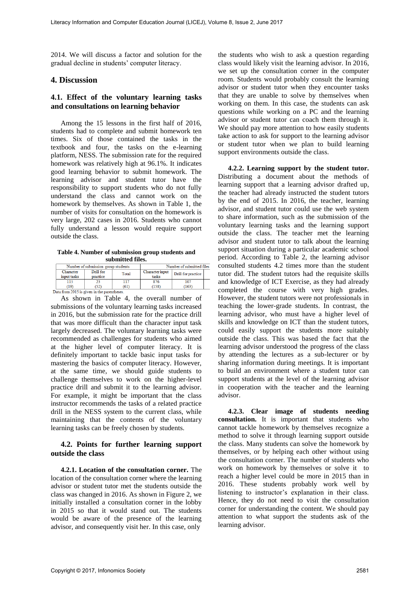2014. We will discuss a factor and solution for the gradual decline in students' computer literacy.

#### **4. Discussion**

#### **4.1. Effect of the voluntary learning tasks and consultations on learning behavior**

Among the 15 lessons in the first half of 2016, students had to complete and submit homework ten times. Six of those contained the tasks in the textbook and four, the tasks on the e-learning platform, NESS. The submission rate for the required homework was relatively high at 96.1%. It indicates good learning behavior to submit homework. The learning advisor and student tutor have the responsibility to support students who do not fully understand the class and cannot work on the homework by themselves. As shown in Table 1, the number of visits for consultation on the homework is very large, 202 cases in 2016. Students who cannot fully understand a lesson would require support outside the class.

**Table 4. Number of submission group students and submitted files.**

| Number of submission group students         |           |       | Number of submitted files |                    |  |  |  |
|---------------------------------------------|-----------|-------|---------------------------|--------------------|--|--|--|
| Character                                   | Drill for | Total | Character input           | Drill for practice |  |  |  |
| input tasks                                 | practice  |       | tasks                     |                    |  |  |  |
|                                             |           |       | 876                       | 107                |  |  |  |
| (19)                                        | .52)      | (61)  | 158                       | (163)              |  |  |  |
| Data from 2015 is given in the narentheses. |           |       |                           |                    |  |  |  |

As shown in Table 4, the overall number of submissions of the voluntary learning tasks increased in 2016, but the submission rate for the practice drill that was more difficult than the character input task largely decreased. The voluntary learning tasks were recommended as challenges for students who aimed at the higher level of computer literacy. It is definitely important to tackle basic input tasks for mastering the basics of computer literacy. However, at the same time, we should guide students to challenge themselves to work on the higher-level practice drill and submit it to the learning advisor. For example, it might be important that the class instructor recommends the tasks of a related practice drill in the NESS system to the current class, while maintaining that the contents of the voluntary learning tasks can be freely chosen by students.

#### **4.2. Points for further learning support outside the class**

**4.2.1. Location of the consultation corner.** The location of the consultation corner where the learning advisor or student tutor met the students outside the class was changed in 2016. As shown in Figure 2, we initially installed a consultation corner in the lobby in 2015 so that it would stand out. The students would be aware of the presence of the learning advisor, and consequently visit her. In this case, only

the students who wish to ask a question regarding class would likely visit the learning advisor. In 2016, we set up the consultation corner in the computer room. Students would probably consult the learning advisor or student tutor when they encounter tasks that they are unable to solve by themselves when working on them. In this case, the students can ask questions while working on a PC and the learning advisor or student tutor can coach them through it. We should pay more attention to how easily students take action to ask for support to the learning advisor or student tutor when we plan to build learning support environments outside the class.

**4.2.2. Learning support by the student tutor.** Distributing a document about the methods of learning support that a learning advisor drafted up, the teacher had already instructed the student tutors by the end of 2015. In 2016, the teacher, learning advisor, and student tutor could use the web system to share information, such as the submission of the voluntary learning tasks and the learning support outside the class. The teacher met the learning advisor and student tutor to talk about the learning support situation during a particular academic school period. According to Table 2, the learning advisor consulted students 4.2 times more than the student tutor did. The student tutors had the requisite skills and knowledge of ICT Exercise, as they had already completed the course with very high grades. However, the student tutors were not professionals in teaching the lower-grade students. In contrast, the learning advisor, who must have a higher level of skills and knowledge on ICT than the student tutors, could easily support the students more suitably outside the class. This was based the fact that the learning advisor understood the progress of the class by attending the lectures as a sub-lecturer or by sharing information during meetings. It is important to build an environment where a student tutor can support students at the level of the learning advisor in cooperation with the teacher and the learning advisor.

**4.2.3. Clear image of students needing consultation.** It is important that students who cannot tackle homework by themselves recognize a method to solve it through learning support outside the class. Many students can solve the homework by themselves, or by helping each other without using the consultation corner. The number of students who work on homework by themselves or solve it to reach a higher level could be more in 2015 than in 2016. These students probably work well by listening to instructor's explanation in their class. Hence, they do not need to visit the consultation corner for understanding the content. We should pay attention to what support the students ask of the learning advisor.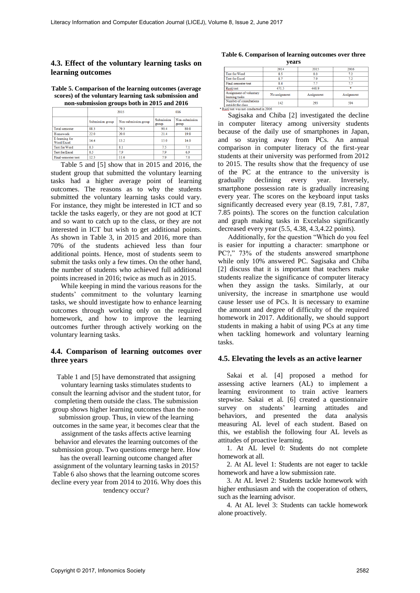### **4.3. Effect of the voluntary learning tasks on learning outcomes**

| Table 5. Comparison of the learning outcomes (average) |
|--------------------------------------------------------|
| scores) of the voluntary learning task submission and  |
| non-submission groups both in 2015 and 2016            |

|                              |                  | 2015                 |                     | 016                     |  |
|------------------------------|------------------|----------------------|---------------------|-------------------------|--|
|                              | Submission group | Non-submission group | Submission<br>group | Non-submission<br>group |  |
| <b>Total semester</b>        | 88.3             | 79.3                 | 90.4                | 80.8                    |  |
| Homework                     | 22.0             | 20.0                 | 21.4                | 19.8                    |  |
| E-learning for<br>Word/Excel | 14.4             | 13.2                 | 15.0                | 14.0                    |  |
| Test for Word                | 83               | 8.1                  | 7.5                 | 7.1                     |  |
| <b>Test for Excel</b>        | 8.5              | 7.9                  | 7.9                 | 6.9                     |  |
| Final-semester test.         | 12.3             | 11.6                 | 7.9                 | 70                      |  |

Table 5 and [5] show that in 2015 and 2016, the student group that submitted the voluntary learning tasks had a higher average point of learning outcomes. The reasons as to why the students submitted the voluntary learning tasks could vary. For instance, they might be interested in ICT and so tackle the tasks eagerly, or they are not good at ICT and so want to catch up to the class, or they are not interested in ICT but wish to get additional points. As shown in Table 3, in 2015 and 2016, more than 70% of the students achieved less than four additional points. Hence, most of students seem to submit the tasks only a few times. On the other hand, the number of students who achieved full additional points increased in 2016; twice as much as in 2015.

While keeping in mind the various reasons for the students' commitment to the voluntary learning tasks, we should investigate how to enhance learning outcomes through working only on the required homework, and how to improve the learning outcomes further through actively working on the voluntary learning tasks.

#### **4.4. Comparison of learning outcomes over three years**

Table 1 and [5] have demonstrated that assigning voluntary learning tasks stimulates students to consult the learning advisor and the student tutor, for completing them outside the class. The submission group shows higher learning outcomes than the nonsubmission group. Thus, in view of the learning outcomes in the same year, it becomes clear that the assignment of the tasks affects active learning behavior and elevates the learning outcomes of the submission group. Two questions emerge here. How has the overall learning outcome changed after assignment of the voluntary learning tasks in 2015? Table 6 also shows that the learning outcome scores

decline every year from 2014 to 2016. Why does this tendency occur?

#### **Table 6. Comparison of learning outcomes over three years**

|                                              | 2014          | 2015       | 2016       |  |
|----------------------------------------------|---------------|------------|------------|--|
| <b>Test for Word</b>                         | 8.5           | 8.0        | 72         |  |
| <b>Test for Excel</b>                        | 87            | 79         | 72         |  |
| Final-semester test                          | 8.4           | 77         | 77         |  |
| Rasti test                                   | 471.5         | 4489       | ×          |  |
| Assignment of voluntary<br>learning tasks    | No assignment | Assignment | Assignment |  |
| Number of consultations<br>outside the class | 142           | 293        | 594        |  |
| Rasti test was not conducted in 2016         |               |            |            |  |

Sagisaka and Chiba [2] investigated the decline in computer literacy among university students because of the daily use of smartphones in Japan, and so staying away from PCs. An annual comparison in computer literacy of the first-year students at their university was performed from 2012 to 2015. The results show that the frequency of use of the PC at the entrance to the university is gradually declining every year. Inversely, smartphone possession rate is gradually increasing every year. The scores on the keyboard input tasks significantly decreased every year (8.19, 7.81, 7.87, 7.85 points). The scores on the function calculation and graph making tasks in Excelalso significantly decreased every year (5.5, 4.38, 4.3,4.22 points).

Additionally, for the question "Which do you feel is easier for inputting a character: smartphone or PC?," 73% of the students answered smartphone while only 10% answered PC. Sagisaka and Chiba [2] discuss that it is important that teachers make students realize the significance of computer literacy when they assign the tasks. Similarly, at our university, the increase in smartphone use would cause lesser use of PCs. It is necessary to examine the amount and degree of difficulty of the required homework in 2017. Additionally, we should support students in making a habit of using PCs at any time when tackling homework and voluntary learning tasks.

#### **4.5. Elevating the levels as an active learner**

Sakai et al. [4] proposed a method for assessing active learners (AL) to implement a learning environment to train active learners stepwise. Sakai et al. [6] created a questionnaire survey on students' learning attitudes and behaviors, and presented the data analysis measuring AL level of each student. Based on this, we establish the following four AL levels as attitudes of proactive learning.

1. At AL level 0: Students do not complete homework at all.

2. At AL level 1: Students are not eager to tackle homework and have a low submission rate.

3. At AL level 2: Students tackle homework with higher enthusiasm and with the cooperation of others, such as the learning advisor.

4. At AL level 3: Students can tackle homework alone proactively.